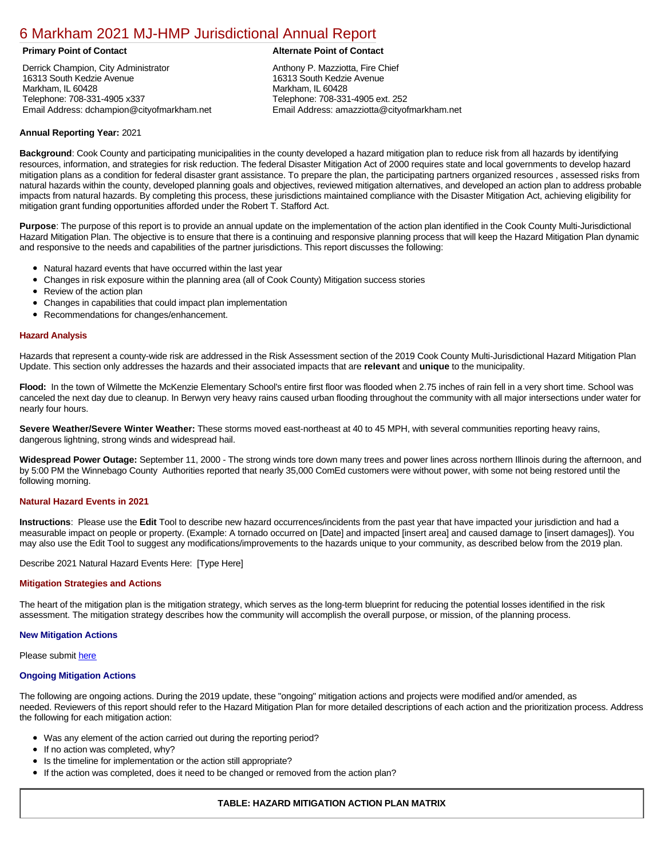# [6 Markham 2021 MJ-HMP Jurisdictional Annual Report](https://markham.isc-cemp.com/Cemp/Details?id=8322850)

Derrick Champion, City Administrator 16313 South Kedzie Avenue Markham, IL 60428 Telephone: 708-331-4905 x337 Email Address: dchampion@cityofmarkham.net

## **Primary Point of Contact Alternate Point of Contact**

Anthony P. Mazziotta, Fire Chief 16313 South Kedzie Avenue Markham, IL 60428 Telephone: 708-331-4905 ext. 252 Email Address: amazziotta@cityofmarkham.net

# **Annual Reporting Year:** 2021

Background: Cook County and participating municipalities in the county developed a hazard mitigation plan to reduce risk from all hazards by identifying resources, information, and strategies for risk reduction. The federal Disaster Mitigation Act of 2000 requires state and local governments to develop hazard mitigation plans as a condition for federal disaster grant assistance. To prepare the plan, the participating partners organized resources , assessed risks from natural hazards within the county, developed planning goals and objectives, reviewed mitigation alternatives, and developed an action plan to address probable impacts from natural hazards. By completing this process, these jurisdictions maintained compliance with the Disaster Mitigation Act, achieving eligibility for mitigation grant funding opportunities afforded under the Robert T. Stafford Act.

**Purpose**: The purpose of this report is to provide an annual update on the implementation of the action plan identified in the Cook County Multi-Jurisdictional Hazard Mitigation Plan. The objective is to ensure that there is a continuing and responsive planning process that will keep the Hazard Mitigation Plan dynamic and responsive to the needs and capabilities of the partner jurisdictions. This report discusses the following:

- Natural hazard events that have occurred within the last year
- $\bullet$ Changes in risk exposure within the planning area (all of Cook County) Mitigation success stories
- Review of the action plan  $\bullet$
- $\bullet$ Changes in capabilities that could impact plan implementation
- Recommendations for changes/enhancement.  $\bullet$

#### **Hazard Analysis**

Hazards that represent a county-wide risk are addressed in the Risk Assessment section of the 2019 Cook County Multi-Jurisdictional Hazard Mitigation Plan Update. This section only addresses the hazards and their associated impacts that are **relevant** and **unique** to the municipality.

**Flood:** In the town of Wilmette the McKenzie Elementary School's entire first floor was flooded when 2.75 inches of rain fell in a very short time. School was canceled the next day due to cleanup. In Berwyn very heavy rains caused urban flooding throughout the community with all major intersections under water for nearly four hours.

**Severe Weather/Severe Winter Weather:** These storms moved east-northeast at 40 to 45 MPH, with several communities reporting heavy rains, dangerous lightning, strong winds and widespread hail.

**Widespread Power Outage:** September 11, 2000 - The strong winds tore down many trees and power lines across northern Illinois during the afternoon, and by 5:00 PM the Winnebago County Authorities reported that nearly 35,000 ComEd customers were without power, with some not being restored until the following morning.

# **Natural Hazard Events in 2021**

**Instructions**: Please use the **Edit** Tool to describe new hazard occurrences/incidents from the past year that have impacted your jurisdiction and had a measurable impact on people or property. (Example: A tornado occurred on [Date] and impacted [insert area] and caused damage to [insert damages]). You may also use the Edit Tool to suggest any modifications/improvements to the hazards unique to your community, as described below from the 2019 plan.

Describe 2021 Natural Hazard Events Here: [Type Here]

#### **Mitigation Strategies and Actions**

The heart of the mitigation plan is the mitigation strategy, which serves as the long-term blueprint for reducing the potential losses identified in the risk assessment. The mitigation strategy describes how the community will accomplish the overall purpose, or mission, of the planning process.

#### **New Mitigation Actions**

Please submit [here](https://integratedsolutions.wufoo.com/forms/mg21jvf0jn639o/)

#### **Ongoing Mitigation Actions**

The following are ongoing actions. During the 2019 update, these "ongoing" mitigation actions and projects were modified and/or amended, as needed. Reviewers of this report should refer to the Hazard Mitigation Plan for more detailed descriptions of each action and the prioritization process. Address the following for each mitigation action:

- Was any element of the action carried out during the reporting period?
- If no action was completed, why?  $\bullet$
- $\bullet$ Is the timeline for implementation or the action still appropriate?
- If the action was completed, does it need to be changed or removed from the action plan?

## **TABLE: HAZARD MITIGATION ACTION PLAN MATRIX**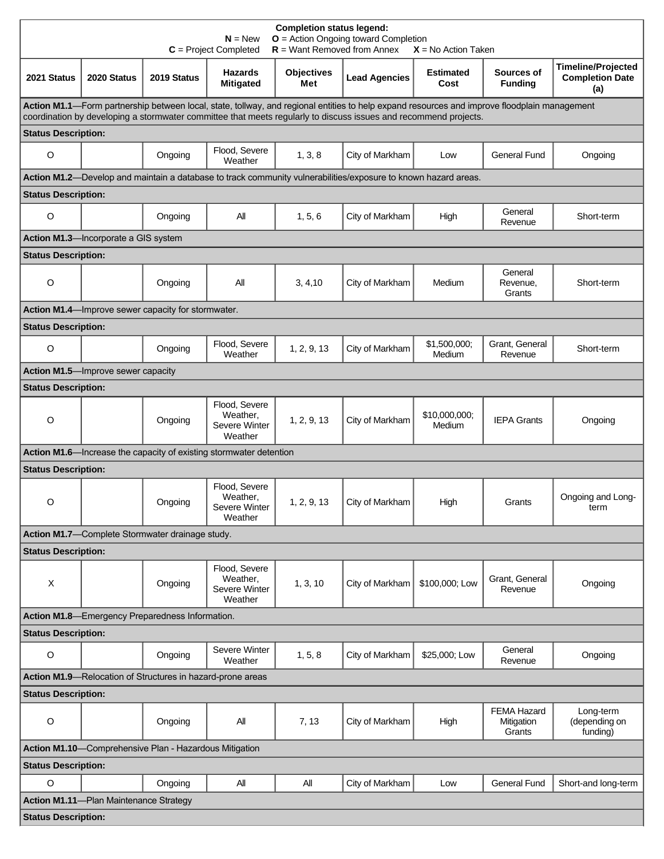| <b>Completion status legend:</b><br>$O =$ Action Ongoing toward Completion<br>$N = New$<br>$R =$ Want Removed from Annex<br>$C = Project Completed$<br>$X = No$ Action Taken                                                                                     |                                      |                                                            |                                                                    |                          |                                                                                                                |                          |                                            |                                                            |  |  |  |
|------------------------------------------------------------------------------------------------------------------------------------------------------------------------------------------------------------------------------------------------------------------|--------------------------------------|------------------------------------------------------------|--------------------------------------------------------------------|--------------------------|----------------------------------------------------------------------------------------------------------------|--------------------------|--------------------------------------------|------------------------------------------------------------|--|--|--|
| 2021 Status                                                                                                                                                                                                                                                      | 2020 Status                          | 2019 Status                                                | <b>Hazards</b><br><b>Mitigated</b>                                 | <b>Objectives</b><br>Met | <b>Lead Agencies</b>                                                                                           | <b>Estimated</b><br>Cost | Sources of<br><b>Funding</b>               | <b>Timeline/Projected</b><br><b>Completion Date</b><br>(a) |  |  |  |
| Action M1.1-Form partnership between local, state, tollway, and regional entities to help expand resources and improve floodplain management<br>coordination by developing a stormwater committee that meets regularly to discuss issues and recommend projects. |                                      |                                                            |                                                                    |                          |                                                                                                                |                          |                                            |                                                            |  |  |  |
| <b>Status Description:</b>                                                                                                                                                                                                                                       |                                      |                                                            |                                                                    |                          |                                                                                                                |                          |                                            |                                                            |  |  |  |
| $\circ$                                                                                                                                                                                                                                                          |                                      | Ongoing                                                    | Flood, Severe<br>Weather                                           | 1, 3, 8                  | City of Markham                                                                                                | Low                      | <b>General Fund</b>                        | Ongoing                                                    |  |  |  |
|                                                                                                                                                                                                                                                                  |                                      |                                                            |                                                                    |                          | Action M1.2-Develop and maintain a database to track community vulnerabilities/exposure to known hazard areas. |                          |                                            |                                                            |  |  |  |
| <b>Status Description:</b>                                                                                                                                                                                                                                       |                                      |                                                            |                                                                    |                          |                                                                                                                |                          |                                            |                                                            |  |  |  |
| O                                                                                                                                                                                                                                                                |                                      | Ongoing                                                    | All                                                                | 1, 5, 6                  | City of Markham                                                                                                | High                     | General<br>Revenue                         | Short-term                                                 |  |  |  |
|                                                                                                                                                                                                                                                                  | Action M1.3-Incorporate a GIS system |                                                            |                                                                    |                          |                                                                                                                |                          |                                            |                                                            |  |  |  |
| <b>Status Description:</b>                                                                                                                                                                                                                                       |                                      |                                                            |                                                                    |                          |                                                                                                                |                          |                                            |                                                            |  |  |  |
| O                                                                                                                                                                                                                                                                |                                      | Ongoing                                                    | All                                                                | 3, 4, 10                 | City of Markham                                                                                                | Medium                   | General<br>Revenue,<br>Grants              | Short-term                                                 |  |  |  |
|                                                                                                                                                                                                                                                                  |                                      | Action M1.4—Improve sewer capacity for stormwater.         |                                                                    |                          |                                                                                                                |                          |                                            |                                                            |  |  |  |
| <b>Status Description:</b>                                                                                                                                                                                                                                       |                                      |                                                            |                                                                    |                          |                                                                                                                |                          |                                            |                                                            |  |  |  |
| $\circ$                                                                                                                                                                                                                                                          |                                      | Ongoing                                                    | Flood, Severe<br>Weather                                           | 1, 2, 9, 13              | City of Markham                                                                                                | \$1,500,000;<br>Medium   | Grant, General<br>Revenue                  | Short-term                                                 |  |  |  |
|                                                                                                                                                                                                                                                                  | Action M1.5-Improve sewer capacity   |                                                            |                                                                    |                          |                                                                                                                |                          |                                            |                                                            |  |  |  |
| <b>Status Description:</b>                                                                                                                                                                                                                                       |                                      |                                                            |                                                                    |                          |                                                                                                                |                          |                                            |                                                            |  |  |  |
| $\circ$                                                                                                                                                                                                                                                          |                                      | Ongoing                                                    | Flood, Severe<br>Weather,<br>Severe Winter<br>Weather              | 1, 2, 9, 13              | City of Markham                                                                                                | \$10,000,000;<br>Medium  | <b>IEPA Grants</b>                         | Ongoing                                                    |  |  |  |
|                                                                                                                                                                                                                                                                  |                                      |                                                            | Action M1.6—Increase the capacity of existing stormwater detention |                          |                                                                                                                |                          |                                            |                                                            |  |  |  |
| <b>Status Description:</b>                                                                                                                                                                                                                                       |                                      |                                                            |                                                                    |                          |                                                                                                                |                          |                                            |                                                            |  |  |  |
| O                                                                                                                                                                                                                                                                |                                      | Ongoing                                                    | Flood, Severe<br>Weather.<br>Severe Winter<br>Weather              | 1, 2, 9, 13              | City of Markham                                                                                                | High                     | Grants                                     | Ongoing and Long-<br>term                                  |  |  |  |
|                                                                                                                                                                                                                                                                  |                                      | Action M1.7-Complete Stormwater drainage study.            |                                                                    |                          |                                                                                                                |                          |                                            |                                                            |  |  |  |
| <b>Status Description:</b>                                                                                                                                                                                                                                       |                                      |                                                            |                                                                    |                          |                                                                                                                |                          |                                            |                                                            |  |  |  |
| X                                                                                                                                                                                                                                                                |                                      | Ongoing                                                    | Flood, Severe<br>Weather,<br>Severe Winter<br>Weather              | 1, 3, 10                 | City of Markham                                                                                                | \$100,000: Low           | Grant, General<br>Revenue                  | Ongoing                                                    |  |  |  |
|                                                                                                                                                                                                                                                                  |                                      | Action M1.8-Emergency Preparedness Information.            |                                                                    |                          |                                                                                                                |                          |                                            |                                                            |  |  |  |
| <b>Status Description:</b>                                                                                                                                                                                                                                       |                                      |                                                            |                                                                    |                          |                                                                                                                |                          |                                            |                                                            |  |  |  |
| $\circ$                                                                                                                                                                                                                                                          |                                      | Ongoing                                                    | Severe Winter<br>Weather                                           | 1, 5, 8                  | City of Markham                                                                                                | \$25,000; Low            | General<br>Revenue                         | Ongoing                                                    |  |  |  |
|                                                                                                                                                                                                                                                                  |                                      | Action M1.9-Relocation of Structures in hazard-prone areas |                                                                    |                          |                                                                                                                |                          |                                            |                                                            |  |  |  |
| <b>Status Description:</b>                                                                                                                                                                                                                                       |                                      |                                                            |                                                                    |                          |                                                                                                                |                          |                                            |                                                            |  |  |  |
| $\circ$                                                                                                                                                                                                                                                          |                                      | Ongoing                                                    | All                                                                | 7, 13                    | City of Markham                                                                                                | High                     | <b>FEMA Hazard</b><br>Mitigation<br>Grants | Long-term<br>(depending on<br>funding)                     |  |  |  |
| Action M1.10-Comprehensive Plan - Hazardous Mitigation                                                                                                                                                                                                           |                                      |                                                            |                                                                    |                          |                                                                                                                |                          |                                            |                                                            |  |  |  |
| <b>Status Description:</b>                                                                                                                                                                                                                                       |                                      |                                                            |                                                                    |                          |                                                                                                                |                          |                                            |                                                            |  |  |  |
| $\circ$                                                                                                                                                                                                                                                          |                                      | Ongoing                                                    | All                                                                | All                      | City of Markham                                                                                                | Low                      | <b>General Fund</b>                        | Short-and long-term                                        |  |  |  |
| <b>Action M1.11-Plan Maintenance Strategy</b>                                                                                                                                                                                                                    |                                      |                                                            |                                                                    |                          |                                                                                                                |                          |                                            |                                                            |  |  |  |
| <b>Status Description:</b>                                                                                                                                                                                                                                       |                                      |                                                            |                                                                    |                          |                                                                                                                |                          |                                            |                                                            |  |  |  |